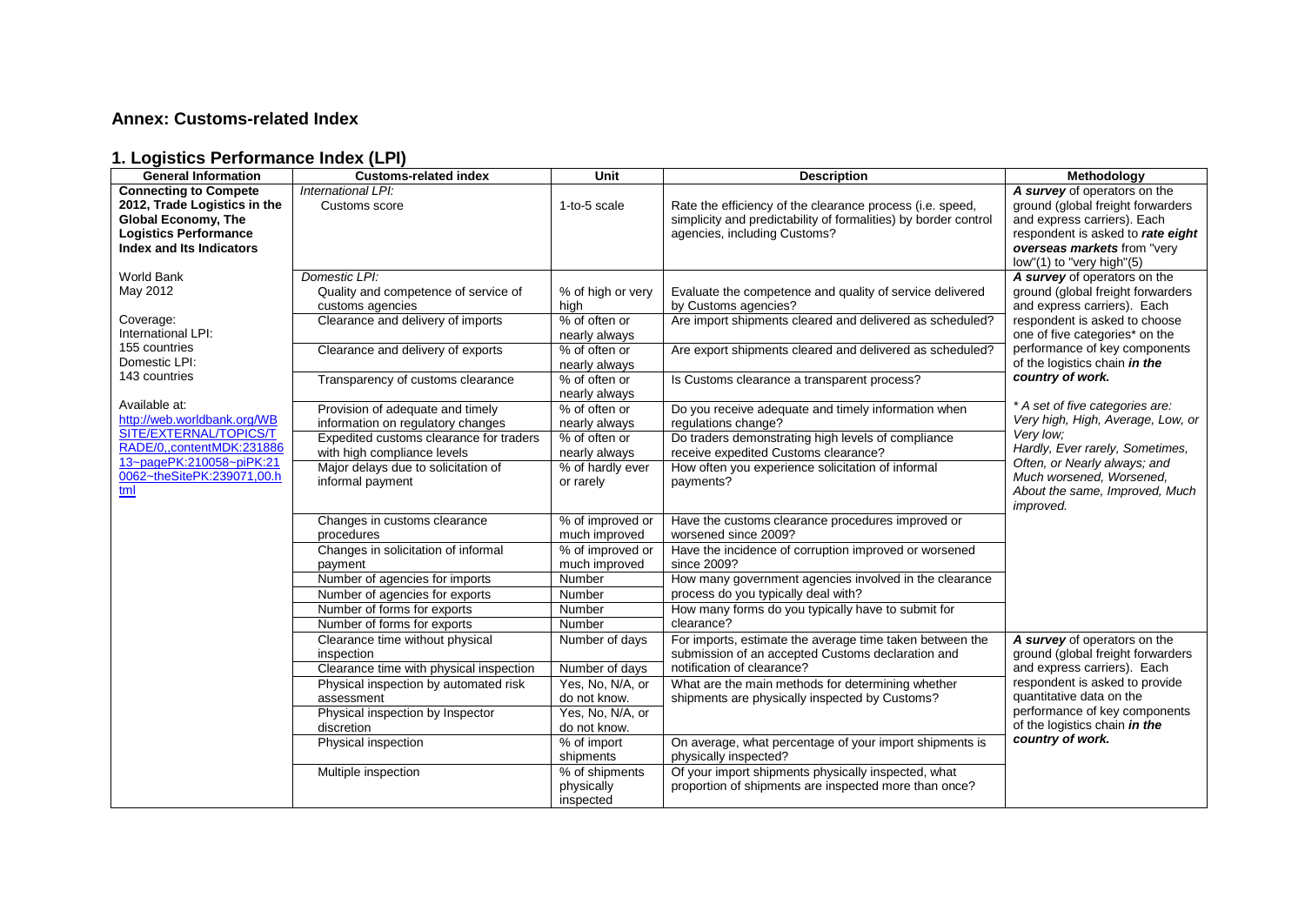## **Annex: Customs-related Index**

#### **1. Logistics Performance Index (LPI)**

| <b>General Information</b>                                                                                                                                         | <b>Customs-related index</b>                                                                                                                                                                               | Unit                                                                                                               | <b>Description</b>                                                                                                                                                                                                                         | Methodology                                                                                                                                                                                                                     |
|--------------------------------------------------------------------------------------------------------------------------------------------------------------------|------------------------------------------------------------------------------------------------------------------------------------------------------------------------------------------------------------|--------------------------------------------------------------------------------------------------------------------|--------------------------------------------------------------------------------------------------------------------------------------------------------------------------------------------------------------------------------------------|---------------------------------------------------------------------------------------------------------------------------------------------------------------------------------------------------------------------------------|
| <b>Connecting to Compete</b><br>2012, Trade Logistics in the<br><b>Global Economy, The</b><br><b>Logistics Performance</b><br>Index and Its Indicators             | International LPI:<br>Customs score                                                                                                                                                                        | 1-to-5 scale                                                                                                       | Rate the efficiency of the clearance process (i.e. speed,<br>simplicity and predictability of formalities) by border control<br>agencies, including Customs?                                                                               | A survey of operators on the<br>ground (global freight forwarders<br>and express carriers). Each<br>respondent is asked to rate eight<br>overseas markets from "very<br>low"(1) to "very high"(5)                               |
| World Bank<br>May 2012<br>Coverage:<br>International LPI:                                                                                                          | Domestic LPI:<br>Quality and competence of service of<br>customs agencies<br>Clearance and delivery of imports                                                                                             | % of high or very<br>high<br>% of often or<br>nearly always                                                        | Evaluate the competence and quality of service delivered<br>by Customs agencies?<br>Are import shipments cleared and delivered as scheduled?                                                                                               | A survey of operators on the<br>ground (global freight forwarders<br>and express carriers). Each<br>respondent is asked to choose<br>one of five categories* on the                                                             |
| 155 countries<br>Domestic LPI:<br>143 countries                                                                                                                    | Clearance and delivery of exports<br>Transparency of customs clearance                                                                                                                                     | % of often or<br>nearly always<br>% of often or                                                                    | Are export shipments cleared and delivered as scheduled?<br>Is Customs clearance a transparent process?                                                                                                                                    | performance of key components<br>of the logistics chain in the<br>country of work.                                                                                                                                              |
| Available at:<br>http://web.worldbank.org/WB<br>SITE/EXTERNAL/TOPICS/T<br>RADE/0contentMDK:231886<br>13~pagePK:210058~piPK:21<br>0062~theSitePK:239071,00.h<br>tml | Provision of adequate and timely<br>information on regulatory changes<br>Expedited customs clearance for traders<br>with high compliance levels<br>Major delays due to solicitation of<br>informal payment | nearly always<br>% of often or<br>nearly always<br>% of often or<br>nearly always<br>% of hardly ever<br>or rarely | Do you receive adequate and timely information when<br>regulations change?<br>Do traders demonstrating high levels of compliance<br>receive expedited Customs clearance?<br>How often you experience solicitation of informal<br>payments? | * A set of five categories are:<br>Very high, High, Average, Low, or<br>Verv low:<br>Hardly, Ever rarely, Sometimes,<br>Often, or Nearly always; and<br>Much worsened, Worsened,<br>About the same, Improved, Much<br>improved. |
|                                                                                                                                                                    | Changes in customs clearance<br>procedures<br>Changes in solicitation of informal                                                                                                                          | % of improved or<br>much improved<br>% of improved or                                                              | Have the customs clearance procedures improved or<br>worsened since 2009?<br>Have the incidence of corruption improved or worsened                                                                                                         |                                                                                                                                                                                                                                 |
|                                                                                                                                                                    | payment<br>Number of agencies for imports<br>Number of agencies for exports<br>Number of forms for exports<br>Number of forms for exports                                                                  | much improved<br>Number<br>Number<br>Number<br>Number                                                              | since 2009?<br>How many government agencies involved in the clearance<br>process do you typically deal with?<br>How many forms do you typically have to submit for<br>clearance?                                                           |                                                                                                                                                                                                                                 |
|                                                                                                                                                                    | Clearance time without physical<br>inspection<br>Clearance time with physical inspection<br>Physical inspection by automated risk                                                                          | Number of days<br>Number of days<br>Yes, No. N/A, or                                                               | For imports, estimate the average time taken between the<br>submission of an accepted Customs declaration and<br>notification of clearance?<br>What are the main methods for determining whether                                           | A survey of operators on the<br>ground (global freight forwarders<br>and express carriers). Each<br>respondent is asked to provide                                                                                              |
|                                                                                                                                                                    | assessment<br>Physical inspection by Inspector<br>discretion                                                                                                                                               | do not know.<br>Yes, No, N/A, or<br>do not know.                                                                   | shipments are physically inspected by Customs?                                                                                                                                                                                             | quantitative data on the<br>performance of key components<br>of the logistics chain in the<br>country of work.                                                                                                                  |
|                                                                                                                                                                    | Physical inspection<br>Multiple inspection                                                                                                                                                                 | % of import<br>shipments<br>% of shipments<br>physically<br>inspected                                              | On average, what percentage of your import shipments is<br>physically inspected?<br>Of your import shipments physically inspected, what<br>proportion of shipments are inspected more than once?                                           |                                                                                                                                                                                                                                 |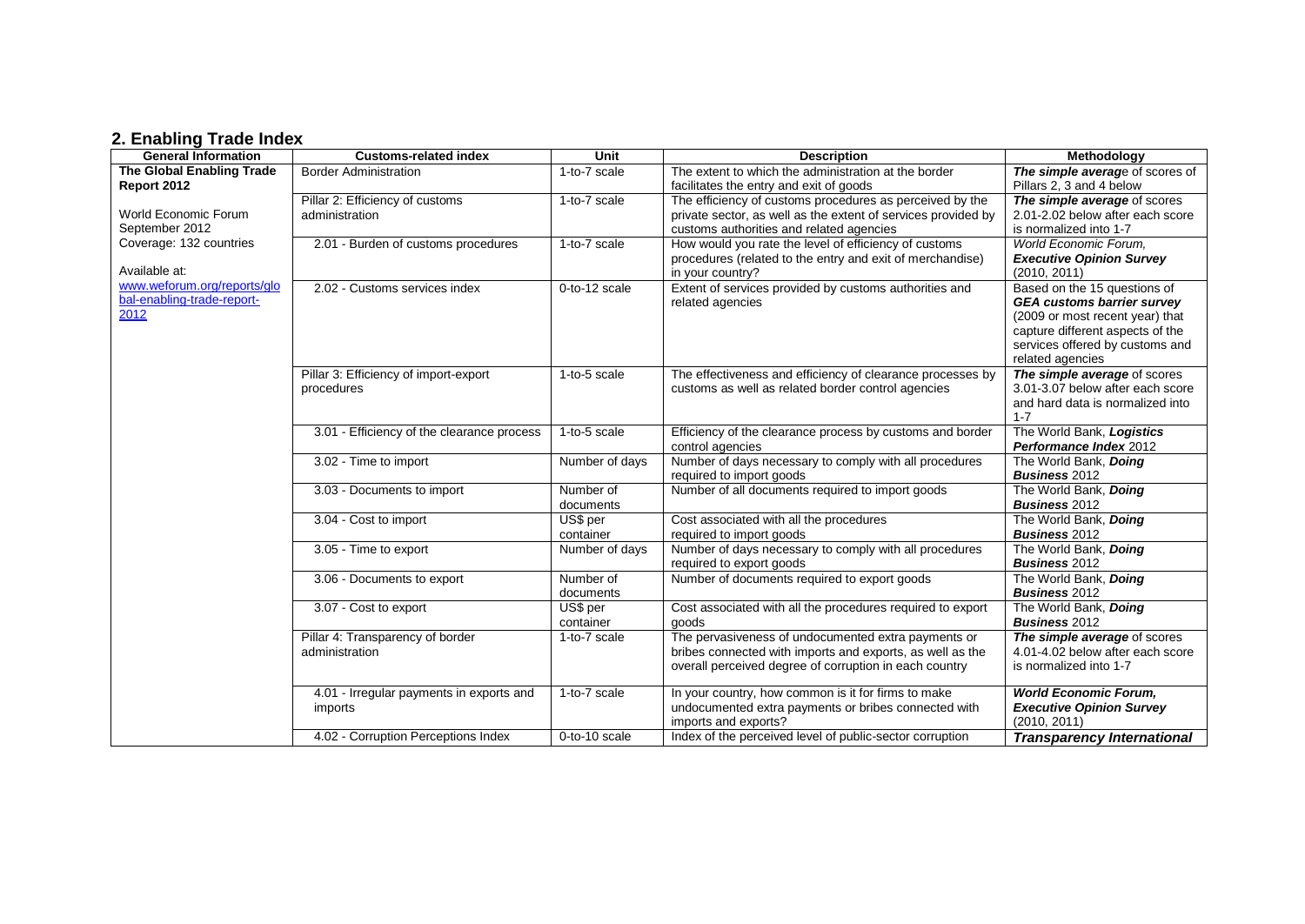# **2. Enabling Trade Index**

| <b>General Information</b>       | <b>Customs-related index</b>               | Unit           | <b>Description</b>                                                         | Methodology                                         |
|----------------------------------|--------------------------------------------|----------------|----------------------------------------------------------------------------|-----------------------------------------------------|
| <b>The Global Enabling Trade</b> | <b>Border Administration</b>               | 1-to-7 scale   | The extent to which the administration at the border                       | The simple average of scores of                     |
| Report 2012                      |                                            |                | facilitates the entry and exit of goods                                    | Pillars 2, 3 and 4 below                            |
|                                  | Pillar 2: Efficiency of customs            | $1-to-7$ scale | The efficiency of customs procedures as perceived by the                   | The simple average of scores                        |
| World Economic Forum             | administration                             |                | private sector, as well as the extent of services provided by              | 2.01-2.02 below after each score                    |
| September 2012                   |                                            |                | customs authorities and related agencies                                   | is normalized into 1-7                              |
| Coverage: 132 countries          | 2.01 - Burden of customs procedures        | 1-to-7 scale   | How would you rate the level of efficiency of customs                      | <b>World Economic Forum.</b>                        |
|                                  |                                            |                | procedures (related to the entry and exit of merchandise)                  | <b>Executive Opinion Survey</b>                     |
| Available at:                    |                                            |                | in your country?                                                           | (2010, 2011)                                        |
| www.weforum.org/reports/glo      | 2.02 - Customs services index              | 0-to-12 scale  | Extent of services provided by customs authorities and                     | Based on the 15 questions of                        |
| bal-enabling-trade-report-       |                                            |                | related agencies                                                           | <b>GEA customs barrier survey</b>                   |
| 2012                             |                                            |                |                                                                            | (2009 or most recent year) that                     |
|                                  |                                            |                |                                                                            | capture different aspects of the                    |
|                                  |                                            |                |                                                                            | services offered by customs and                     |
|                                  |                                            |                |                                                                            | related agencies                                    |
|                                  | Pillar 3: Efficiency of import-export      | 1-to-5 scale   | The effectiveness and efficiency of clearance processes by                 | The simple average of scores                        |
|                                  | procedures                                 |                | customs as well as related border control agencies                         | 3.01-3.07 below after each score                    |
|                                  |                                            |                |                                                                            | and hard data is normalized into                    |
|                                  |                                            |                |                                                                            | $1 - 7$                                             |
|                                  | 3.01 - Efficiency of the clearance process | 1-to-5 scale   | Efficiency of the clearance process by customs and border                  | The World Bank, Logistics<br>Performance Index 2012 |
|                                  | 3.02 - Time to import                      | Number of days | control agencies<br>Number of days necessary to comply with all procedures | The World Bank, Doing                               |
|                                  |                                            |                | required to import goods                                                   | <b>Business 2012</b>                                |
|                                  | 3.03 - Documents to import                 | Number of      | Number of all documents required to import goods                           | The World Bank, Doing                               |
|                                  |                                            | documents      |                                                                            | <b>Business 2012</b>                                |
|                                  | 3.04 - Cost to import                      | US\$ per       | Cost associated with all the procedures                                    | The World Bank, Doing                               |
|                                  |                                            | container      | required to import goods                                                   | <b>Business 2012</b>                                |
|                                  | 3.05 - Time to export                      | Number of days | Number of days necessary to comply with all procedures                     | The World Bank, Doing                               |
|                                  |                                            |                | required to export goods                                                   | <b>Business 2012</b>                                |
|                                  | 3.06 - Documents to export                 | Number of      | Number of documents required to export goods                               | The World Bank, Doing                               |
|                                  |                                            | documents      |                                                                            | <b>Business 2012</b>                                |
|                                  | 3.07 - Cost to export                      | US\$ per       | Cost associated with all the procedures required to export                 | The World Bank, Doing                               |
|                                  |                                            | container      | goods                                                                      | <b>Business 2012</b>                                |
|                                  | Pillar 4: Transparency of border           | 1-to-7 scale   | The pervasiveness of undocumented extra payments or                        | The simple average of scores                        |
|                                  | administration                             |                | bribes connected with imports and exports, as well as the                  | 4.01-4.02 below after each score                    |
|                                  |                                            |                | overall perceived degree of corruption in each country                     | is normalized into 1-7                              |
|                                  |                                            |                |                                                                            |                                                     |
|                                  | 4.01 - Irregular payments in exports and   | 1-to-7 scale   | In your country, how common is it for firms to make                        | <b>World Economic Forum,</b>                        |
|                                  | imports                                    |                | undocumented extra payments or bribes connected with                       | <b>Executive Opinion Survey</b>                     |
|                                  |                                            |                | imports and exports?                                                       | (2010, 2011)                                        |
|                                  | 4.02 - Corruption Perceptions Index        | 0-to-10 scale  | Index of the perceived level of public-sector corruption                   | <b>Transparency International</b>                   |